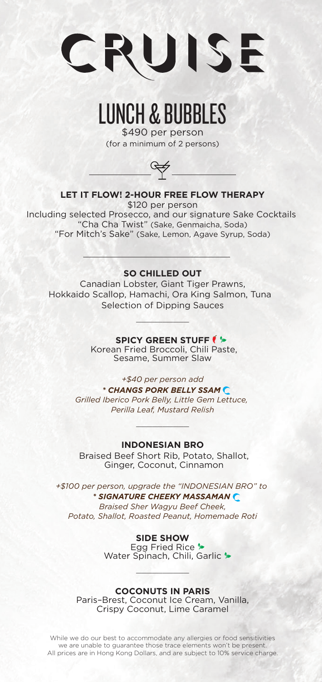

## LUNCH & BUBBLES

\$490 per person (for a minimum of 2 persons)



#### **LET IT FLOW! 2-HOUR FREE FLOW THERAPY**

\$120 per person Including selected Prosecco, and our signature Sake Cocktails "Cha Cha Twist" (Sake, Genmaicha, Soda) "For Mitch's Sake" (Sake, Lemon, Agave Syrup, Soda)

#### **SO CHILLED OUT**

Canadian Lobster, Giant Tiger Prawns, Hokkaido Scallop, Hamachi, Ora King Salmon, Tuna Selection of Dipping Sauces

 $\sim$   $\sim$ 

**SPICY GREEN STUFF**  $\blacklozenge$ 

Korean Fried Broccoli, Chili Paste, Sesame, Summer Slaw

*+\$40 per person add*

*\* CHANGS PORK BELLY SSAM Grilled Iberico Pork Belly, Little Gem Lettuce, Perilla Leaf, Mustard Relish*

#### **INDONESIAN BRO**

 $\mathcal{L}_\nu$  , where  $\mathcal{L}_\nu$ 

Braised Beef Short Rib, Potato, Shallot, Ginger, Coconut, Cinnamon

*+\$100 per person, upgrade the "INDONESIAN BRO" to \* SIGNATURE CHEEKY MASSAMAN Braised Sher Wagyu Beef Cheek, Potato, Shallot, Roasted Peanut, Homemade Roti*

**SIDE SHOW**

Egg Fried Rice > Water Spinach, Chili, Garlic \*

#### **COCONUTS IN PARIS**

 $\sim$   $\sim$ 

Paris–Brest, Coconut Ice Cream, Vanilla, Crispy Coconut, Lime Caramel

While we do our best to accommodate any allergies or food sensitivities we are unable to guarantee those trace elements won't be present. All prices are in Hong Kong Dollars, and are subject to 10% service charge.